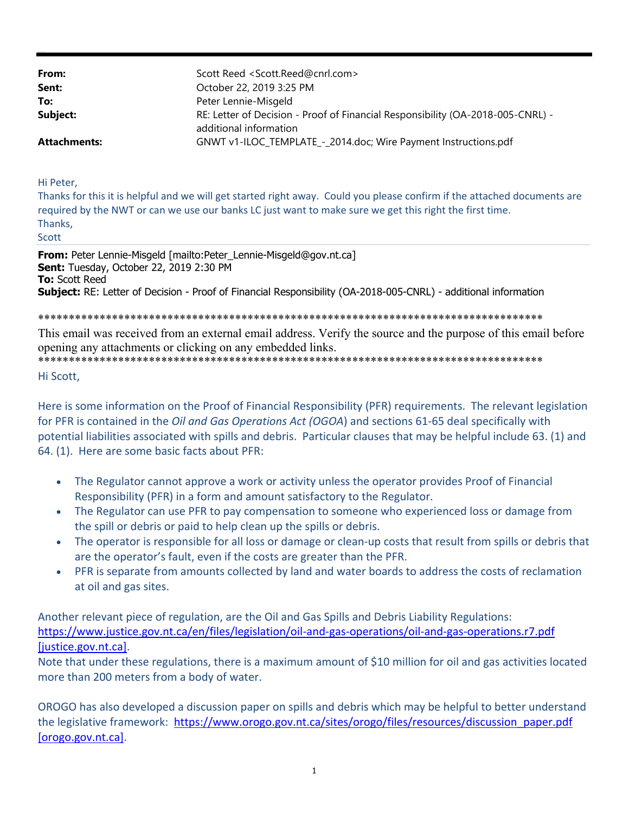| Scott Reed <scott.reed@cnrl.com></scott.reed@cnrl.com>                                                    |
|-----------------------------------------------------------------------------------------------------------|
| October 22, 2019 3:25 PM                                                                                  |
| Peter Lennie-Misgeld                                                                                      |
| RE: Letter of Decision - Proof of Financial Responsibility (OA-2018-005-CNRL) -<br>additional information |
| GNWT v1-ILOC_TEMPLATE_-_2014.doc; Wire Payment Instructions.pdf                                           |
|                                                                                                           |

Hi Peter,

Thanks for this it is helpful and we will get started right away. Could you please confirm if the attached documents are required by the NWT or can we use our banks LC just want to make sure we get this right the first time. Thanks. Scott

From: Peter Lennie-Misgeld [mailto:Peter Lennie-Misgeld@gov.nt.ca] Sent: Tuesday, October 22, 2019 2:30 PM **To:** Scott Reed Subject: RE: Letter of Decision - Proof of Financial Responsibility (OA-2018-005-CNRL) - additional information

This email was received from an external email address. Verify the source and the purpose of this email before opening any attachments or clicking on any embedded links.

Hi Scott,

Here is some information on the Proof of Financial Responsibility (PFR) requirements. The relevant legislation for PFR is contained in the Oil and Gas Operations Act (OGOA) and sections 61-65 deal specifically with potential liabilities associated with spills and debris. Particular clauses that may be helpful include 63. (1) and 64. (1). Here are some basic facts about PFR:

- The Regulator cannot approve a work or activity unless the operator provides Proof of Financial Responsibility (PFR) in a form and amount satisfactory to the Regulator.
- The Regulator can use PFR to pay compensation to someone who experienced loss or damage from the spill or debris or paid to help clean up the spills or debris.
- The operator is responsible for all loss or damage or clean-up costs that result from spills or debris that are the operator's fault, even if the costs are greater than the PFR.
- PFR is separate from amounts collected by land and water boards to address the costs of reclamation  $\bullet$ at oil and gas sites.

Another relevant piece of regulation, are the Oil and Gas Spills and Debris Liability Regulations: https://www.justice.gov.nt.ca/en/files/legislation/oil-and-gas-operations/oil-and-gas-operations.r7.pdf [justice.gov.nt.ca].

Note that under these regulations, there is a maximum amount of \$10 million for oil and gas activities located more than 200 meters from a body of water.

OROGO has also developed a discussion paper on spills and debris which may be helpful to better understand the legislative framework: https://www.orogo.gov.nt.ca/sites/orogo/files/resources/discussion paper.pdf [orogo.gov.nt.ca].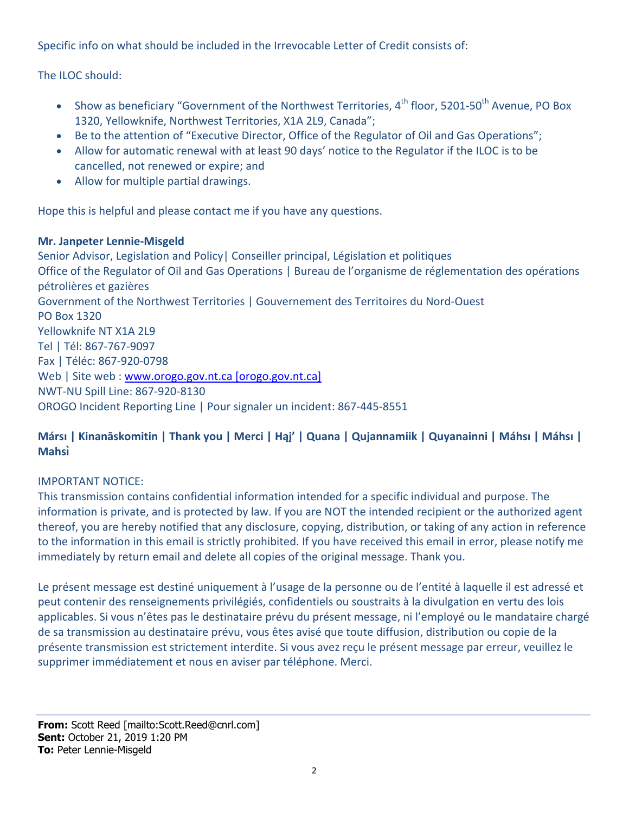Specific info on what should be included in the Irrevocable Letter of Credit consists of:

The ILOC should:

- Show as beneficiary "Government of the Northwest Territories, 4<sup>th</sup> floor, 5201-50<sup>th</sup> Avenue, PO Box 1320, Yellowknife, Northwest Territories, X1A 2L9, Canada";
- Be to the attention of "Executive Director, Office of the Regulator of Oil and Gas Operations";
- Allow for automatic renewal with at least 90 days' notice to the Regulator if the ILOC is to be cancelled, not renewed or expire; and
- Allow for multiple partial drawings.

Hope this is helpful and please contact me if you have any questions.

### **Mr. Janpeter Lennie‐Misgeld**

Senior Advisor, Legislation and Policy| Conseiller principal, Législation et politiques Office of the Regulator of Oil and Gas Operations | Bureau de l'organisme de réglementation des opérations pétrolières et gazières Government of the Northwest Territories | Gouvernement des Territoires du Nord‐Ouest PO Box 1320 Yellowknife NT X1A 2L9 Tel | Tél: 867‐767‐9097 Fax | Téléc: 867‐920‐0798 Web | Site web : www.orogo.gov.nt.ca [orogo.gov.nt.ca] NWT‐NU Spill Line: 867‐920‐8130 OROGO Incident Reporting Line | Pour signaler un incident: 867‐445‐8551

# Mársı | Kinanāskomitin | Thank you | Merci | Haj' | Quana | Qujannamiik | Quyanainni | Máhsı | Máhsı | **Mahsı̀**

# IMPORTANT NOTICE:

This transmission contains confidential information intended for a specific individual and purpose. The information is private, and is protected by law. If you are NOT the intended recipient or the authorized agent thereof, you are hereby notified that any disclosure, copying, distribution, or taking of any action in reference to the information in this email is strictly prohibited. If you have received this email in error, please notify me immediately by return email and delete all copies of the original message. Thank you.

Le présent message est destiné uniquement à l'usage de la personne ou de l'entité à laquelle il est adressé et peut contenir des renseignements privilégiés, confidentiels ou soustraits à la divulgation en vertu des lois applicables. Si vous n'êtes pas le destinataire prévu du présent message, ni l'employé ou le mandataire chargé de sa transmission au destinataire prévu, vous êtes avisé que toute diffusion, distribution ou copie de la présente transmission est strictement interdite. Si vous avez reçu le présent message par erreur, veuillez le supprimer immédiatement et nous en aviser par téléphone. Merci.

**From:** Scott Reed [mailto:Scott.Reed@cnrl.com] **Sent:** October 21, 2019 1:20 PM **To:** Peter Lennie-Misgeld